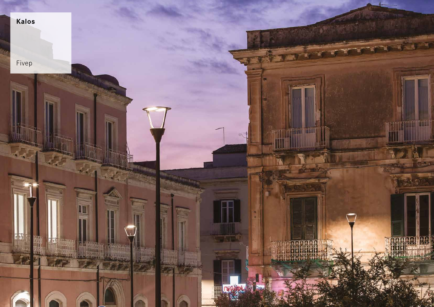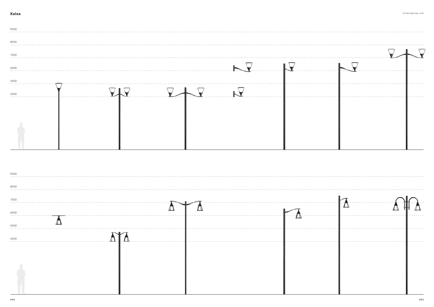| 9000 |  |  |                                                                                                                                                                                                                                                                                   |  |
|------|--|--|-----------------------------------------------------------------------------------------------------------------------------------------------------------------------------------------------------------------------------------------------------------------------------------|--|
| 8000 |  |  |                                                                                                                                                                                                                                                                                   |  |
| 7000 |  |  |                                                                                                                                                                                                                                                                                   |  |
| 6000 |  |  | $\vdash$                                                                                                                                                                                                                                                                          |  |
| 5000 |  |  |                                                                                                                                                                                                                                                                                   |  |
| 4000 |  |  | $\mathsf{L}% _{\mathbb{R}}^{X\times{N_{\mathbb{R}}}}\times\mathsf{L}_{\mathbb{R}}^{X\times{N_{\mathbb{R}}}}\times\mathsf{L}_{\mathbb{R}}^{X\times{N_{\mathbb{R}}}}\times\mathsf{L}_{\mathbb{R}}^{X\times{N_{\mathbb{R}}}}\times\mathsf{L}_{\mathbb{R}}^{X\times{N_{\mathbb{R}}}}$ |  |
|      |  |  |                                                                                                                                                                                                                                                                                   |  |
|      |  |  |                                                                                                                                                                                                                                                                                   |  |
|      |  |  |                                                                                                                                                                                                                                                                                   |  |
|      |  |  |                                                                                                                                                                                                                                                                                   |  |

| 9000 |                |               |
|------|----------------|---------------|
| 8000 |                |               |
| 7000 | -------------- |               |
| 6000 |                | $\mathcal{L}$ |
| 5000 |                |               |
| 4000 |                |               |
|      |                |               |
|      |                |               |
|      |                |               |
|      |                |               |
|      |                |               |



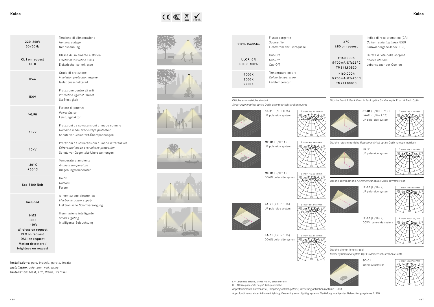| Kalos | $\begin{picture}(20,10) \put(0,0){\line(1,0){15}} \put(15,0){\line(1,0){15}} \put(15,0){\line(1,0){15}} \put(15,0){\line(1,0){15}} \put(15,0){\line(1,0){15}} \put(15,0){\line(1,0){15}} \put(15,0){\line(1,0){15}} \put(15,0){\line(1,0){15}} \put(15,0){\line(1,0){15}} \put(15,0){\line(1,0){15}} \put(15,0){\line(1,0){15}} \put(15,0){\line(1$ | Kalos |
|-------|-----------------------------------------------------------------------------------------------------------------------------------------------------------------------------------------------------------------------------------------------------------------------------------------------------------------------------------------------------|-------|
|       |                                                                                                                                                                                                                                                                                                                                                     |       |

**I** max= 772.55 cd/Klm 180  $-90$   $+ 1$   $+ 1$  90









ST-01  $(L/H = 0.75) +$ **LA-01** (L/H=  $1.25$ ) UP pole-side system



180



**LT-06**  $(L/H = 2)$ UP pole-side system

**LT-06**  $(L/H = 2)$ DOWN pole-side system



**LA-01** (L/H= 1.25) DOWN pole-side system RS-01 UP pole-side system

 $ME-01 (L/H = 1)$ DOWN pole-side system













SO-01 string suspension





Installazione: palo, braccio, parete, tesata *Installation: pole, arm, wall, string* Installation: Mast, arm, Wand, Drahtseil

| 220-240V<br>50/60Hz                                                                                                                     | Tensione di alimentazione<br>Nominal voltage<br>Nennspannung                                                                         |
|-----------------------------------------------------------------------------------------------------------------------------------------|--------------------------------------------------------------------------------------------------------------------------------------|
| CL I on request<br>CL II                                                                                                                | Classe di isolamento elettrico<br>Electrical insulation class<br>Elektrische Isolierklasse                                           |
| <b>IP66</b>                                                                                                                             | Grado di protezione<br>Insulation protection degree<br>Isolationsschutzgrad                                                          |
| IK09                                                                                                                                    | Protezione contro gli urti<br>Protection against impact<br>Stoßfestigkeit                                                            |
| >0.90                                                                                                                                   | Fattore di potenza<br>Power factor<br>Leistungsfaktor                                                                                |
| 10kV                                                                                                                                    | Protezioni da sovratensioni di modo comune<br>Common mode overvoltage protection<br>Schutz vor Gleichtakt-Überspannungen             |
| 10kV                                                                                                                                    | Protezioni da sovratensioni di modo differenziale<br>Differential mode overvoltage protection<br>Schutz vor Gegentakt-Überspannungen |
| $-30^{\circ}$ C<br>$+50^{\circ}$ C                                                                                                      | Temperatura ambiente<br>Ambient temperature<br>Umgebungstemperatur                                                                   |
| Sablé 100 Noir                                                                                                                          | Colori<br>Colours<br>Farben                                                                                                          |
| Included                                                                                                                                | Alimentazione elettronica<br>Electronic power supply<br>Elektronische Stromversorgung                                                |
| HM3<br><b>CLO</b><br>$1 - 10V$<br>Wireless on request<br>PLC on request<br>DALI on request<br>Motion detectors/<br>brightnes on request | Illuminazione intelligente<br>Smart Lighting<br>Intelligente Beleuchtung                                                             |

Approfondimento sistemi ottici, *Deepening optical systems,* Vertiefung optischen Systeme P. 308 L = Larghezza strada, *Street Width* , Straßenbreite H = Altezza palo, *Pole Height*, Lichtpunkthöhe



| 2120-154351m                  | Flusso sorgente<br>Source flux<br>Lichtstrom der Lichtquelle |  |  |
|-------------------------------|--------------------------------------------------------------|--|--|
| ULOR: 0%<br><b>DLOR: 100%</b> | $Cut-Off$<br>$Cut$ -Off<br>$Cut$ -Off                        |  |  |
| 4000K<br>3000K<br>2200K       | Temperatura colore<br>Colour temperature<br>Farbtemperatur   |  |  |

≥70 ≥80 on request Indice di resa cromatica (CRI) *Colour rendering index (CRI)* Farbwiedergabe-Index (CRI)

>160.000h @700mA @Ta25°C TM21 L80B20 >160.000h

@700mA @Ta25°C TM21 L80B10

Durata di vita delle sorgenti *Source lifetime* Lebensdauer der Quellen

Ottiche Front & Back *Front & Back optics* Straßenoptik Front & Back Optik



Ottiche rotosimmetriche *Rotosymmetrical optics* Optik rotosymmetrisch



Ottiche asimmetriche *Asymmetrical optics* Optik asymmetrisch



Ottiche simmetriche stradali

*Street symmetrical optics* Optik symmetrisch straßenleuchte



#### Ottiche asimmetriche stradali

*Street asymmetrical optics* Optik asymmetrisch straßenleuchte

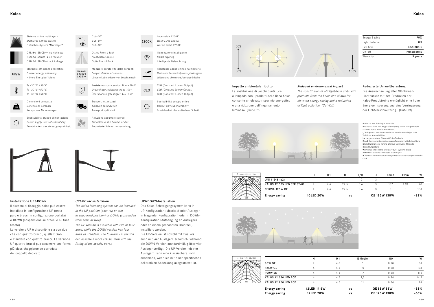

| max= 414 cd / Klm<br>T |  |
|------------------------|--|
| 90                     |  |
|                        |  |
|                        |  |
|                        |  |
|                        |  |
|                        |  |
|                        |  |
| 180                    |  |

| .   | .                                         |                     |                      |                    |     |         |                     |        |
|-----|-------------------------------------------|---------------------|----------------------|--------------------|-----|---------|---------------------|--------|
|     | annehmen, wenn sie mit einer spezifischen | I max= 414 cd / Klm |                      |                    | H1  | E Medio | U0                  | W      |
|     | dekorativen Abdeckung ausgestattet ist.   |                     | <b>80W QE</b>        |                    | 4.6 |         | 0.28                | 88     |
|     |                                           |                     | 125W QE              |                    | 4.6 |         | 0.28                | 138    |
|     |                                           |                     | 100W SE              |                    | 4.6 |         | 0.28                | 115    |
|     |                                           |                     | KALOS 12 350 LED ROT |                    | 4.6 |         | 0.34                | 14.5   |
|     |                                           |                     | KALOS 12 700 LED ROT |                    | 4.6 |         | 0.34                | 28     |
|     |                                           |                     | <b>Energy saving</b> | 12 LED 14.5 W      |     | vs      | <b>QE 88W 88W</b>   | $-83%$ |
|     |                                           |                     | <b>Energy saving</b> | <b>12 LED 28 W</b> |     | vs      | <b>QE 125W 138W</b> | $-66%$ |
| 448 |                                           |                     |                      |                    |     |         |                     | 449    |

| Energy saving | 12 LED 14.5        |
|---------------|--------------------|
| Energy saving | <b>12 LED 28 V</b> |





| н | H1  |      | I/H | La | Emed | Emin | W   |
|---|-----|------|-----|----|------|------|-----|
|   |     |      | ۱O  |    |      |      |     |
| 4 | 4.6 | 22.5 | 5.6 |    | 137  | 4.94 |     |
| 4 | 4.6 | 22.5 | 5.6 |    |      |      | 138 |



| Energy Saving   | 75%         |
|-----------------|-------------|
| Light Pollution | 0%          |
| Life time       | >50.000 h   |
| $On-off$        | immediately |
| Warranty        | 5 years     |

#### UP&DOWN-Installation

Das Kalos-Befestigungssystem kann in UP-Konfiguration (Mastkopf oder Ausleger in tragender Konfiguration) oder in DOWN-Konfiguration (Aufhängung an Auslegern oder an einem gespannten Drahtseil) installiert werden.

Die UP-Version ist sowohl mit zwei als auch mit vier Auslegern erhältlich, während die DOWN-Version standardmäßig über vier Ausleger verfügt. Die UP-Version mit vier Auslegern kann eine klassischere Form annehmen, wenn sie mit einer spezifischen dekorativen Abdeckung ausgestattet ist.

| , |  |  |
|---|--|--|



# *UP&DOWN installation*

*The Kalos fastening system can be installed in the UP position (post top or arm in supported position) or DOWN (suspended from arms or wire).*

*The UP version is available with two or four arms, while the DOWN version has four arms as standard. The four-arm UP version can assume a more classic form with the fitting of the special cover.*

# Impatto ambientale ridotto

La sostituzione di vecchi punti luce a lampada con i prodotti della linea Kalos consente un elevato risparmio energetico e una riduzione dell'inquinamento luminoso. (Cut-Off)

# Reduzierte Umweltbelastung

Die Auswechselung alter Glühbirnen-Lichtpunkte mit den Produkten der Kalos-Produktreihe ermöglicht eine hohe Energieeinsparung und eine Verringerung der Lichtverschmutzung. (Cut-Off)



# *Reduced environmental impact*

*The substitution of old light-bulb units with* 

*products from the Kalos line allows for elevated energy saving and a reduction of light pollution. (Cut-Off)*



H: Altezza palo *Pole height* Masthöhe

H1: Altezza fonte luce *Height of the lighting source* Lichtpunkthöhe

D: Interdistanza *Interdistance* Abstand I/H: Rapporto interdistanza/altezza *Interdistance/height ratio* 

Verhältnis Abstand/Höhe

La: Larghezza strada *Street width* Straßenbreite

Emed: Illuminamento medio *Average illumination* Mittelbeleuchtung Emin: Illuminamento minimo *Minimum illumination* Mindeste

Beleuchtungsstärke W: Potenza totale *Totale absorbed* Power Systemleistung

STR: Ottica stradale *Street optic* Straßenoptik

ROT: Ottica rotosimmetrica *Rotosymmetrical optics* Rotosymmetrische Optik



Dimensioni compatte *Dimensions compact* Kompatken Abmessungen





Luce calda 2200K *Warm Light 2200K* Warme Licht 2200 K

2200K

 $\widehat{\mathcal{D}}$ 

 $\overline{\phantom{a}}$ 

**CLO** 

 $\bigodot$ 



Ottica Front&Back *Front & Back optics* Optik Front & Back

160,000b

L80B20 L80B10

 $\sqrt{4}$ 

Sostituibilità gruppo alimentazione *Power supply unit substitutability* Ersetzbarkeit der Versorgungseinheit

Sostituibilità gruppo ottico *Optical unit substitutability* Ersetzbarkeit der optischen Einheit

Riduzione accumulo sporco *Reduction in the buildup of dirt* Reduzierte Schmutzansammlung



# Optisches System "Multilayer" CRI≥80 SMCD=4 su richiesta *CRI≥80 SMCD=4 on request* CRI≥80 SMCD=4 auf Anfrage Maggiore efficienza energetica *Greater energy efficiency*  $Im/W$ Höhere Energieeffizienz



 $KG$ 

 $\bigodot$ 

Sistema ottico multilayers *Multilayer optical system*

> Resistenza sovratensioni fino a 10kV *Overvoltage resistance up to 10 kV* Überspannungsfestigkeit bis 10 kV

CLO (Constant Lumen Output) *CLO (Constant Lumen Output)* CLO (Constant Lumen Output)

### Installazione UP&DOWN

Il sistema di fissaggio Kalos può essere installato in configurazione UP (testa palo o bracci in configurazione portata) o DOWN (sospensione su bracci o su fune tesata).

La versione UP è disponibile sia con due che con quattro bracci, quella DOWN è standard con quattro bracci. La versione UP quattro bracci può assumere una forma più classicheggiante se corredata del cappello dedicato.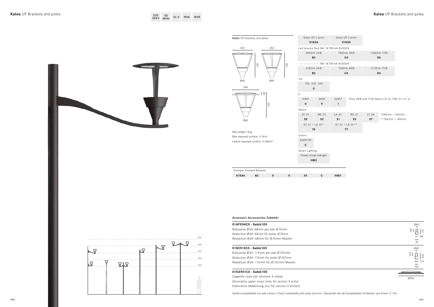

| $\frac{\emptyset60}{}$<br>$\frac{1}{2}$<br>170<br>68<br>$\overline{76}$                   |
|-------------------------------------------------------------------------------------------|
| 060<br>$\overline{\phantom{a}}$<br>120<br>240<br>114<br>$\rightarrow$<br>$\overline{102}$ |
| 0594                                                                                      |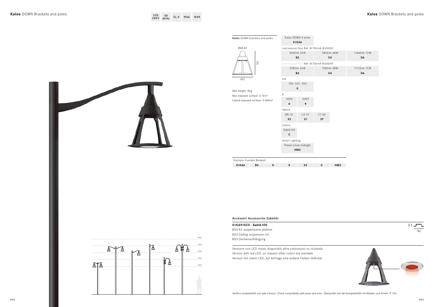

# **Kalos** DOWN Brackets and poles **Kalos** DOWN Brackets and poles

| 220 | -50       |       |              |             |
|-----|-----------|-------|--------------|-------------|
|     | 240V 60Hz | CL II | $-$ IP66 $-$ | <b>IK09</b> |

| Kalos DOWN brackets and poles                                 | Kalos DOWN 4 arms<br>01KA6 |                                      |              |                |                |  |
|---------------------------------------------------------------|----------------------------|--------------------------------------|--------------|----------------|----------------|--|
| Ø48-60                                                        |                            | Led (source flux) Ref. @700mA @4000K |              |                |                |  |
|                                                               | 3965 lm 24W                |                                      |              | 7845 lm 48W    | 11660 lm 72W   |  |
|                                                               | <b>B2</b>                  |                                      |              | C <sub>4</sub> | D <sub>6</sub> |  |
| 551                                                           |                            | Led (source flux) Ref. @700mA @3000K |              |                |                |  |
|                                                               |                            | 3780 lm 24 W                         |              | 7480 lm 48W    | 11120 lm 72W   |  |
|                                                               | <b>B2</b>                  |                                      |              | C <sub>4</sub> | D6             |  |
| 452                                                           | mA                         |                                      |              |                |                |  |
|                                                               | 700 525 350                |                                      |              |                |                |  |
| Max weight: 8kg                                               | $\pmb{0}$                  |                                      |              |                |                |  |
| Max exposed surface: 0.16m <sup>2</sup>                       | K                          |                                      |              |                |                |  |
| Lateral exposed surface: 0.068m <sup>2</sup>                  | 4000                       | 3000                                 |              |                |                |  |
|                                                               | $\pmb{0}$                  | 9                                    |              |                |                |  |
|                                                               | Optics                     |                                      |              |                |                |  |
|                                                               | $ME-01$                    | $LA-01$                              | $LT-06$      |                |                |  |
|                                                               | 32                         | 31                                   | 37           |                |                |  |
|                                                               | Colors                     |                                      |              |                |                |  |
|                                                               | Sablé100                   |                                      |              |                |                |  |
|                                                               | $\mathbf c$                |                                      |              |                |                |  |
|                                                               | Smart Lighting             |                                      |              |                |                |  |
|                                                               | Preset virtual midnight    |                                      |              |                |                |  |
|                                                               | HM3                        |                                      |              |                |                |  |
|                                                               |                            |                                      |              |                |                |  |
| Esempio Example Beispiel<br>01KA6<br><b>B2</b><br>$\mathbf 0$ |                            | 32                                   | $\mathbf{C}$ | HM3            |                |  |
|                                                               | $\pmb{0}$                  |                                      |              |                |                |  |





Accessori *Accessories* Zubehör

# **01KA915C0 - Sablé100**

B53 Kit sospensione plafone *B53 Ceiling suspension kit* B53 Deckenaufhängung

Versione con LED rosso, disponibili altre colorazioni su richiesta *Version with red LED, on request other colors are available* Version mit rotem LED, auf Anfrage sind andere Farben lieferbar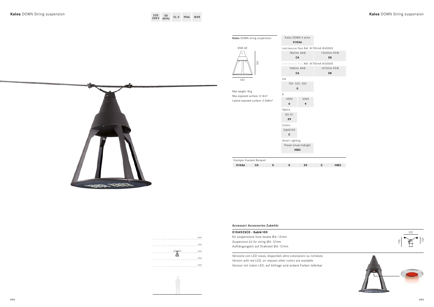$000K$ 20lm 95W **E8**

# **E8**

 $000K$ 

35 lm 95W

| Kalos DOWN string suspension                                                                               | 01KA6                         | Kalos DOWN 4 arms                                                  |   |  |
|------------------------------------------------------------------------------------------------------------|-------------------------------|--------------------------------------------------------------------|---|--|
| 048-60                                                                                                     |                               | Led (source flux) Ref. @700mA @40                                  |   |  |
|                                                                                                            | 7845 lm 48W<br>C <sub>4</sub> | 1543                                                               |   |  |
| 551                                                                                                        |                               | Led (source flux) Ref. @700mA @30<br>7480 lm 48W<br>C <sub>4</sub> |   |  |
| 452                                                                                                        | mA                            | 700 525 350<br>0                                                   |   |  |
| Max weight: 8kg<br>Max exposed surface: 0.16m <sup>2</sup><br>Lateral exposed surface: 0.068m <sup>2</sup> | K<br>4000<br>0                | 3000<br>9                                                          |   |  |
|                                                                                                            | Optics<br>$SO-01$<br>39       |                                                                    |   |  |
|                                                                                                            | Colors<br>Sablé100<br>C       |                                                                    |   |  |
|                                                                                                            |                               | Smart Lighting<br>Preset virtual midnight<br>HM <sub>3</sub>       |   |  |
| Esempio Example Beispiel                                                                                   |                               |                                                                    |   |  |
| 01KA6<br>C <sub>4</sub><br>$\mathbf 0$                                                                     | 0                             | 39                                                                 | C |  |





Accessori *Accessories* Zubehör

#### **01KA925C0 - Sablé100**

Kit sospensione fune tesata Ø6-12mm *Suspension kit for string Ø 6 - 12 mm* Aufhängungskit auf Drahtseil Ø6-12mm

Versione con LED rosso, disponibili altre colorazioni su richiesta *Version with red LED, on request other colors are available* Version mit rotem LED, auf Anfrage sind andere Farben lieferbar



**01KA6 C4 0 0 39 C HM3**